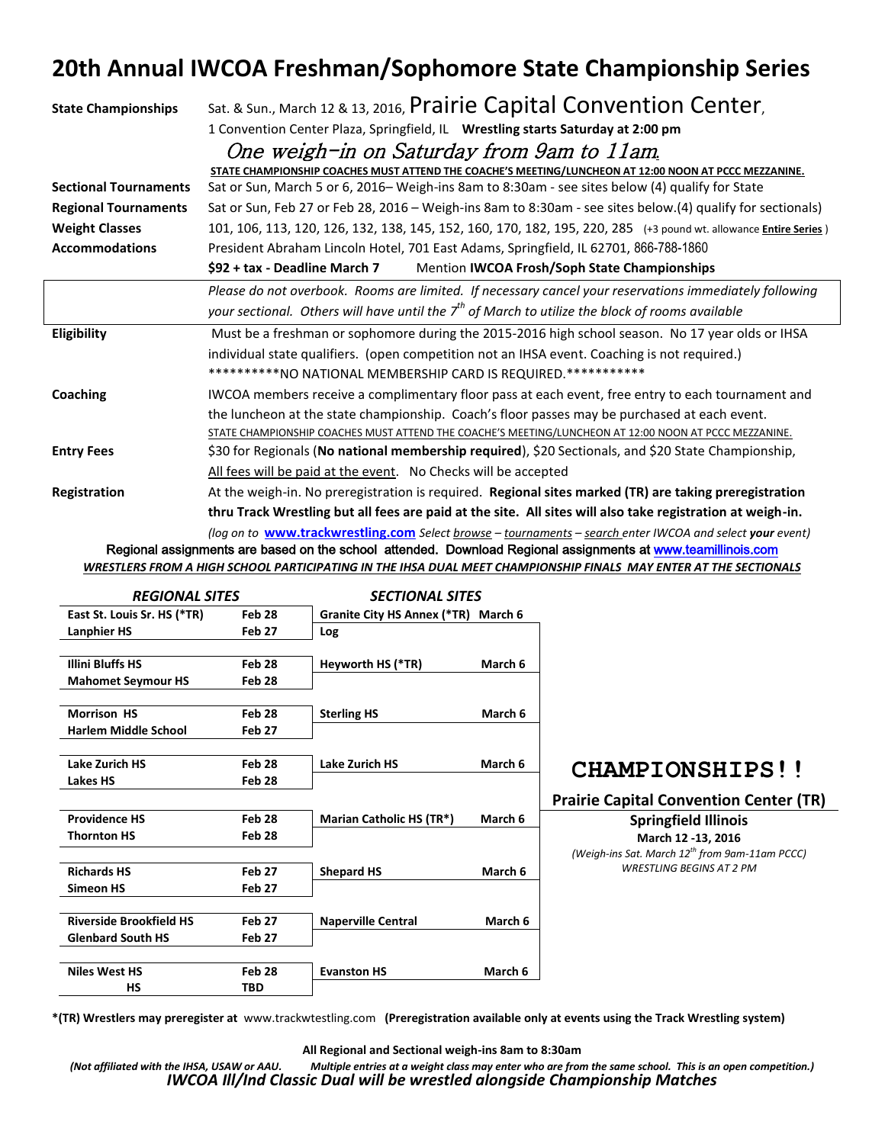## **20th Annual IWCOA Freshman/Sophomore State Championship Series**

| <b>State Championships</b>   | Sat. & Sun., March 12 & 13, 2016, Prairie Capital Convention Center,<br>1 Convention Center Plaza, Springfield, IL Wrestling starts Saturday at 2:00 pm<br>One weigh-in on Saturday from 9am to 11am                           |  |  |  |  |  |  |  |
|------------------------------|--------------------------------------------------------------------------------------------------------------------------------------------------------------------------------------------------------------------------------|--|--|--|--|--|--|--|
|                              |                                                                                                                                                                                                                                |  |  |  |  |  |  |  |
|                              |                                                                                                                                                                                                                                |  |  |  |  |  |  |  |
|                              | STATE CHAMPIONSHIP COACHES MUST ATTEND THE COACHE'S MEETING/LUNCHEON AT 12:00 NOON AT PCCC MEZZANINE.                                                                                                                          |  |  |  |  |  |  |  |
| <b>Sectional Tournaments</b> | Sat or Sun, March 5 or 6, 2016- Weigh-ins 8am to 8:30am - see sites below (4) qualify for State                                                                                                                                |  |  |  |  |  |  |  |
| <b>Regional Tournaments</b>  | Sat or Sun, Feb 27 or Feb 28, 2016 - Weigh-ins 8am to 8:30am - see sites below.(4) qualify for sectionals)                                                                                                                     |  |  |  |  |  |  |  |
| <b>Weight Classes</b>        | 101, 106, 113, 120, 126, 132, 138, 145, 152, 160, 170, 182, 195, 220, 285 (+3 pound wt. allowance <i>Entire Series</i> )                                                                                                       |  |  |  |  |  |  |  |
| <b>Accommodations</b>        | President Abraham Lincoln Hotel, 701 East Adams, Springfield, IL 62701, 866-788-1860                                                                                                                                           |  |  |  |  |  |  |  |
|                              | \$92 + tax - Deadline March 7<br>Mention IWCOA Frosh/Soph State Championships                                                                                                                                                  |  |  |  |  |  |  |  |
|                              | Please do not overbook. Rooms are limited. If necessary cancel your reservations immediately following                                                                                                                         |  |  |  |  |  |  |  |
|                              | your sectional. Others will have until the 7 <sup>th</sup> of March to utilize the block of rooms available                                                                                                                    |  |  |  |  |  |  |  |
| Eligibility                  | Must be a freshman or sophomore during the 2015-2016 high school season. No 17 year olds or IHSA                                                                                                                               |  |  |  |  |  |  |  |
|                              | individual state qualifiers. (open competition not an IHSA event. Coaching is not required.)                                                                                                                                   |  |  |  |  |  |  |  |
|                              | **********NO NATIONAL MEMBERSHIP CARD IS REQUIRED.***********                                                                                                                                                                  |  |  |  |  |  |  |  |
| Coaching                     | IWCOA members receive a complimentary floor pass at each event, free entry to each tournament and                                                                                                                              |  |  |  |  |  |  |  |
|                              | the luncheon at the state championship. Coach's floor passes may be purchased at each event.                                                                                                                                   |  |  |  |  |  |  |  |
|                              | STATE CHAMPIONSHIP COACHES MUST ATTEND THE COACHE'S MEETING/LUNCHEON AT 12:00 NOON AT PCCC MEZZANINE.                                                                                                                          |  |  |  |  |  |  |  |
| <b>Entry Fees</b>            | \$30 for Regionals (No national membership required), \$20 Sectionals, and \$20 State Championship,                                                                                                                            |  |  |  |  |  |  |  |
|                              | All fees will be paid at the event. No Checks will be accepted                                                                                                                                                                 |  |  |  |  |  |  |  |
| Registration                 | At the weigh-in. No preregistration is required. Regional sites marked (TR) are taking preregistration                                                                                                                         |  |  |  |  |  |  |  |
|                              | thru Track Wrestling but all fees are paid at the site. All sites will also take registration at weigh-in.                                                                                                                     |  |  |  |  |  |  |  |
|                              | (Legislation through the property of the Calculation of the component of the control of the control of the control of the control of the control of the control of the control of the control of the control of the control of |  |  |  |  |  |  |  |

*(log on to* **[www.trackwrestling.com](http://www.trackwrestling.com/)** *Select browse – tournaments – search enter IWCOA and select your event)* Regional assignments are based on the school attended. Download Regional assignments at [www.teamillinois.com](http://www.teamillinois.com/) 

*WRESTLERS FROM A HIGH SCHOOL PARTICIPATING IN THE IHSA DUAL MEET CHAMPIONSHIP FINALS MAY ENTER AT THE SECTIONALS*

| <b>REGIONAL SITES</b>          |                   | <b>SECTIONAL SITES</b>              |         |                                                            |
|--------------------------------|-------------------|-------------------------------------|---------|------------------------------------------------------------|
| East St. Louis Sr. HS (*TR)    | Feb 28            | Granite City HS Annex (*TR) March 6 |         |                                                            |
| <b>Lanphier HS</b>             | Feb <sub>27</sub> | Log                                 |         |                                                            |
| <b>Illini Bluffs HS</b>        | Feb 28            | Heyworth HS (*TR)                   | March 6 |                                                            |
| <b>Mahomet Seymour HS</b>      | Feb 28            |                                     |         |                                                            |
| <b>Morrison HS</b>             | Feb 28            | <b>Sterling HS</b>                  | March 6 |                                                            |
| <b>Harlem Middle School</b>    | Feb 27            |                                     |         |                                                            |
| <b>Lake Zurich HS</b>          | Feb <sub>28</sub> | <b>Lake Zurich HS</b>               | March 6 | <b>CHAMPIONSHIPS!!</b>                                     |
| <b>Lakes HS</b>                | Feb 28            |                                     |         |                                                            |
|                                |                   |                                     |         | <b>Prairie Capital Convention Center (TR)</b>              |
| <b>Providence HS</b>           | Feb 28            | <b>Marian Catholic HS (TR*)</b>     | March 6 | <b>Springfield Illinois</b>                                |
| <b>Thornton HS</b>             | Feb 28            |                                     |         | March 12 -13, 2016                                         |
|                                |                   |                                     |         | (Weigh-ins Sat. March 12 <sup>th</sup> from 9am-11am PCCC) |
| <b>Richards HS</b>             | Feb 27            | <b>Shepard HS</b>                   | March 6 | <b>WRESTLING BEGINS AT 2 PM</b>                            |
| <b>Simeon HS</b>               | Feb 27            |                                     |         |                                                            |
| <b>Riverside Brookfield HS</b> | <b>Feb 27</b>     | <b>Naperville Central</b>           | March 6 |                                                            |
| <b>Glenbard South HS</b>       | Feb 27            |                                     |         |                                                            |
| <b>Niles West HS</b>           | Feb 28            | <b>Evanston HS</b>                  | March 6 |                                                            |
| НS                             | TBD               |                                     |         |                                                            |
|                                |                   |                                     |         |                                                            |

**\*(TR) Wrestlers may preregister at** www.trackwtestling.com **(Preregistration available only at events using the Track Wrestling system)**

**All Regional and Sectional weigh-ins 8am to 8:30am**

*(Not affiliated with the IHSA, USAW or AAU. Multiple entries at a weight class may enter who are from the same school. This is an open competition.) IWCOA Ill/Ind Classic Dual will be wrestled alongside Championship Matches*